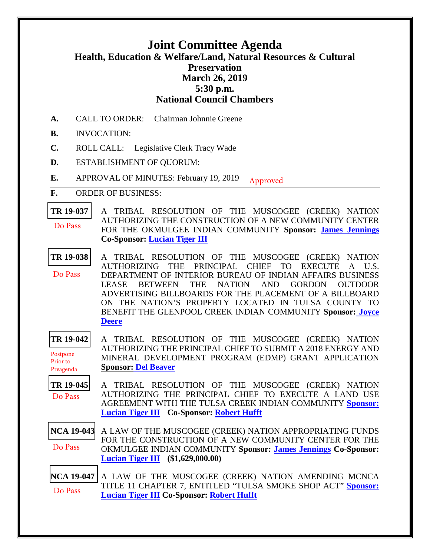## **Joint Committee Agenda Health, Education & Welfare/Land, Natural Resources & Cultural Preservation March 26, 2019 5:30 p.m. National Council Chambers**

- **A.** CALL TO ORDER: Chairman Johnnie Greene
- **B.** INVOCATION:
- **C.** ROLL CALL: Legislative Clerk Tracy Wade
- **D.** ESTABLISHMENT OF QUORUM:
- **E.** APPROVAL OF MINUTES: February 19, 2019 Approved
- **F.** ORDER OF BUSINESS:
- **[TR 19-037](bills/19-037.pdf)** A TRIBAL RESOLUTION OF THE MUSCOGEE (CREEK) NATION AUTHORIZING THE CONSTRUCTION OF A NEW COMMUNITY CENTER FOR THE OKMULGEE INDIAN COMMUNITY **Sponsor: [James Jennings](mailto:mrjjennings@mcn-nsn.gov) Co-Sponsor: [Lucian Tiger III](mailto:ltiger@mcn-nsn.gov)** Do Pass
- **[TR 19-038](bills/19-038.pdf)** A TRIBAL RESOLUTION OF THE MUSCOGEE (CREEK) NATION AUTHORIZING THE PRINCIPAL CHIEF TO EXECUTE A U.S. DEPARTMENT OF INTERIOR BUREAU OF INDIAN AFFAIRS BUSINESS LEASE BETWEEN THE NATION AND GORDON OUTDOOR ADVERTISING BILLBOARDS FOR THE PLACEMENT OF A BILLBOARD ON THE NATION'S PROPERTY LOCATED IN TULSA COUNTY TO BENEFIT THE GLENPOOL CREEK INDIAN COMMUNITY **[Sponsor: Joyce](mailto:jcdeere@mcn-nsn.gov)  [Deere](mailto:jcdeere@mcn-nsn.gov)** Do Pass
- **[TR 19-042](bills/19-042.pdf)** A TRIBAL RESOLUTION OF THE MUSCOGEE (CREEK) NATION AUTHORIZING THE PRINCIPAL CHIEF TO SUBMIT A 2018 ENERGY AND MINERAL DEVELOPMENT PROGRAM (EDMP) GRANT APPLICATION **Sponsor: [Del Beaver](mailto:mailtodbeaver@mcn-nsn.gov)** Postpone Prior to Preagenda
- **[TR 19-045](bills/19-045.pdf)** A TRIBAL RESOLUTION OF THE MUSCOGEE (CREEK) NATION AUTHORIZING THE PRINCIPAL CHIEF TO EXECUTE A LAND USE AGREEMENT WITH THE TULSA CREEK INDIAN COMMUNITY **[Sponsor:](mailto:ltiger@mcn-nsn.gov)  [Lucian Tiger III](mailto:ltiger@mcn-nsn.gov) Co-Sponsor: [Robert Hufft](mailto:mrrhufft@mcn-nsn.gov)** Do Pass
- **[NCA 19-043](bills/NCA19-043.pdf)** A LAW OF THE MUSCOGEE (CREEK) NATION APPROPRIATING FUNDS FOR THE CONSTRUCTION OF A NEW COMMUNITY CENTER FOR THE OKMULGEE INDIAN COMMUNITY **Sponsor: [James Jennings](mailto:mrjjennings@mcn-nsn.gov) Co-Sponsor: [Lucian Tiger III](mailto:ltiger@mcn-nsn.gov) (\$1,629,000.00)**  Do Pass
- **[NCA 19-047](bills/NCA19-047.pdf)** A LAW OF THE MUSCOGEE (CREEK) NATION AMENDING MCNCA TITLE 11 CHAPTER 7, ENTITLED "TULSA SMOKE SHOP ACT" **[Sponsor:](mailto:ltiger@mcn-nsn.gov)  [Lucian Tiger III](mailto:ltiger@mcn-nsn.gov) Co-Sponsor: [Robert Hufft](mailto:mrrhufft@mcn-nsn.gov)** Do Pass